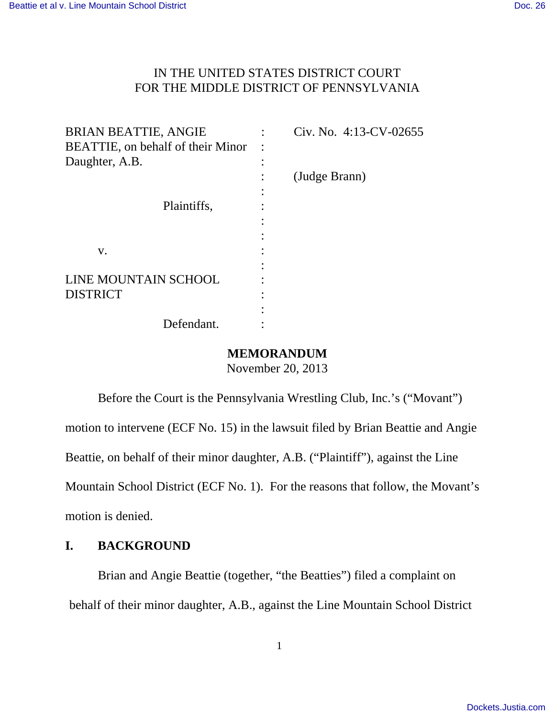## IN THE UNITED STATES DISTRICT COURT FOR THE MIDDLE DISTRICT OF PENNSYLVANIA

| <b>BRIAN BEATTIE, ANGIE</b>               | Civ. No. 4:13-CV-02655 |
|-------------------------------------------|------------------------|
| <b>BEATTIE</b> , on behalf of their Minor |                        |
| Daughter, A.B.                            |                        |
|                                           | (Judge Brann)          |
|                                           |                        |
| Plaintiffs,                               |                        |
|                                           |                        |
|                                           |                        |
| V.                                        |                        |
|                                           |                        |
| LINE MOUNTAIN SCHOOL                      |                        |
| <b>DISTRICT</b>                           |                        |
|                                           |                        |
| Defendant.                                |                        |

### **MEMORANDUM**

November 20, 2013

Before the Court is the Pennsylvania Wrestling Club, Inc.'s ("Movant") motion to intervene (ECF No. 15) in the lawsuit filed by Brian Beattie and Angie Beattie, on behalf of their minor daughter, A.B. ("Plaintiff"), against the Line Mountain School District (ECF No. 1). For the reasons that follow, the Movant's motion is denied.

# **I. BACKGROUND**

Brian and Angie Beattie (together, "the Beatties") filed a complaint on behalf of their minor daughter, A.B., against the Line Mountain School District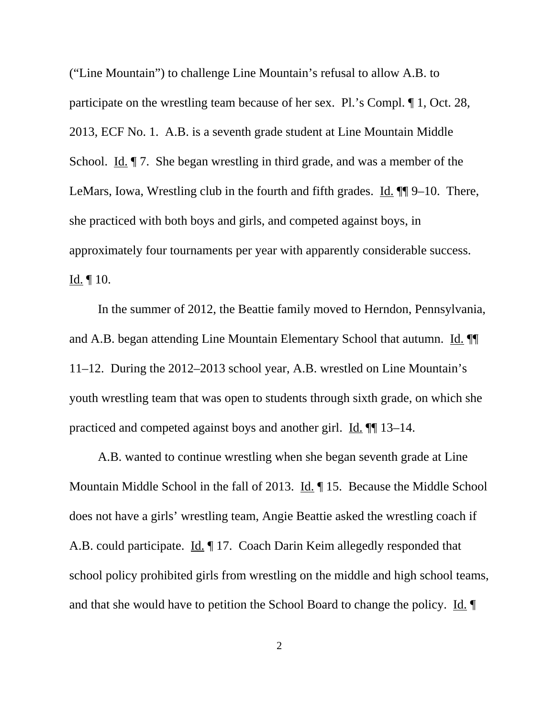("Line Mountain") to challenge Line Mountain's refusal to allow A.B. to participate on the wrestling team because of her sex. Pl.'s Compl. ¶ 1, Oct. 28, 2013, ECF No. 1. A.B. is a seventh grade student at Line Mountain Middle School. Id.  $\parallel$  7. She began wrestling in third grade, and was a member of the LeMars, Iowa, Wrestling club in the fourth and fifth grades. Id.  $\P$  9–10. There, she practiced with both boys and girls, and competed against boys, in approximately four tournaments per year with apparently considerable success.  $Id. \P 10.$ 

In the summer of 2012, the Beattie family moved to Herndon, Pennsylvania, and A.B. began attending Line Mountain Elementary School that autumn. Id. 11–12. During the 2012–2013 school year, A.B. wrestled on Line Mountain's youth wrestling team that was open to students through sixth grade, on which she practiced and competed against boys and another girl. Id. ¶¶ 13–14.

A.B. wanted to continue wrestling when she began seventh grade at Line Mountain Middle School in the fall of 2013. Id. 15. Because the Middle School does not have a girls' wrestling team, Angie Beattie asked the wrestling coach if A.B. could participate. Id. 17. Coach Darin Keim allegedly responded that school policy prohibited girls from wrestling on the middle and high school teams, and that she would have to petition the School Board to change the policy. Id.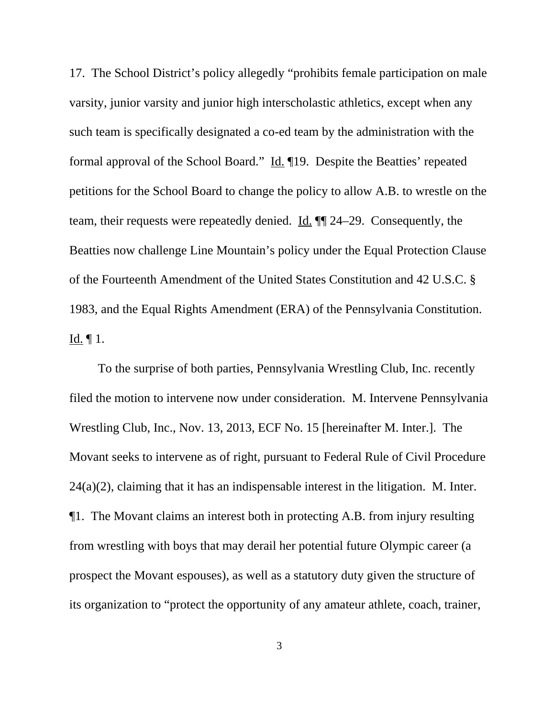17. The School District's policy allegedly "prohibits female participation on male varsity, junior varsity and junior high interscholastic athletics, except when any such team is specifically designated a co-ed team by the administration with the formal approval of the School Board." Id. ¶19. Despite the Beatties' repeated petitions for the School Board to change the policy to allow A.B. to wrestle on the team, their requests were repeatedly denied. Id. ¶¶ 24–29. Consequently, the Beatties now challenge Line Mountain's policy under the Equal Protection Clause of the Fourteenth Amendment of the United States Constitution and 42 U.S.C. § 1983, and the Equal Rights Amendment (ERA) of the Pennsylvania Constitution. Id. ¶ 1.

To the surprise of both parties, Pennsylvania Wrestling Club, Inc. recently filed the motion to intervene now under consideration. M. Intervene Pennsylvania Wrestling Club, Inc., Nov. 13, 2013, ECF No. 15 [hereinafter M. Inter.]. The Movant seeks to intervene as of right, pursuant to Federal Rule of Civil Procedure 24(a)(2), claiming that it has an indispensable interest in the litigation. M. Inter. ¶1. The Movant claims an interest both in protecting A.B. from injury resulting from wrestling with boys that may derail her potential future Olympic career (a prospect the Movant espouses), as well as a statutory duty given the structure of its organization to "protect the opportunity of any amateur athlete, coach, trainer,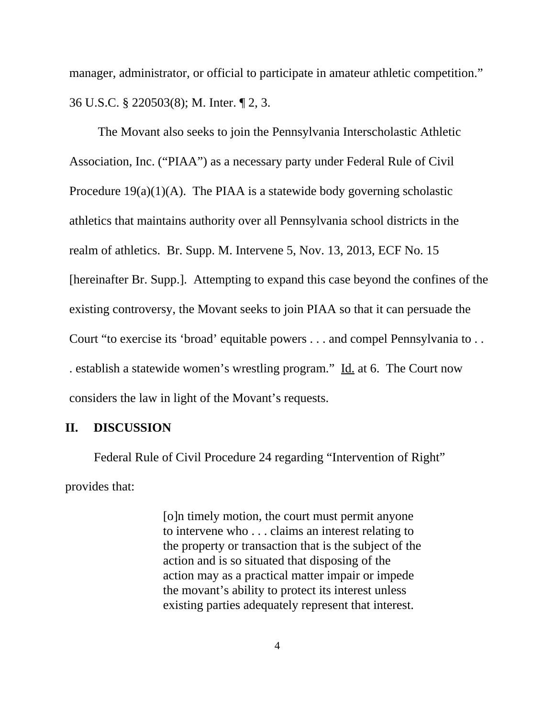manager, administrator, or official to participate in amateur athletic competition." 36 U.S.C. § 220503(8); M. Inter. ¶ 2, 3.

The Movant also seeks to join the Pennsylvania Interscholastic Athletic Association, Inc. ("PIAA") as a necessary party under Federal Rule of Civil Procedure  $19(a)(1)(A)$ . The PIAA is a statewide body governing scholastic athletics that maintains authority over all Pennsylvania school districts in the realm of athletics. Br. Supp. M. Intervene 5, Nov. 13, 2013, ECF No. 15 [hereinafter Br. Supp.]. Attempting to expand this case beyond the confines of the existing controversy, the Movant seeks to join PIAA so that it can persuade the Court "to exercise its 'broad' equitable powers . . . and compel Pennsylvania to . . . establish a statewide women's wrestling program." Id. at 6. The Court now considers the law in light of the Movant's requests.

### **II. DISCUSSION**

Federal Rule of Civil Procedure 24 regarding "Intervention of Right" provides that:

> [o]n timely motion, the court must permit anyone to intervene who . . . claims an interest relating to the property or transaction that is the subject of the action and is so situated that disposing of the action may as a practical matter impair or impede the movant's ability to protect its interest unless existing parties adequately represent that interest.

> > 4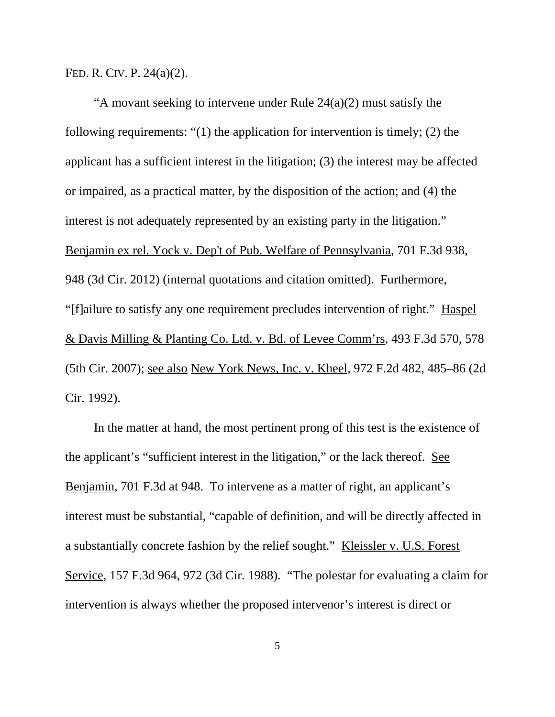FED. R. CIV. P. 24(a)(2).

"A movant seeking to intervene under Rule 24(a)(2) must satisfy the following requirements: "(1) the application for intervention is timely; (2) the applicant has a sufficient interest in the litigation; (3) the interest may be affected or impaired, as a practical matter, by the disposition of the action; and (4) the interest is not adequately represented by an existing party in the litigation." Benjamin ex rel. Yock v. Dep't of Pub. Welfare of Pennsylvania, 701 F.3d 938, 948 (3d Cir. 2012) (internal quotations and citation omitted). Furthermore, "[f]ailure to satisfy any one requirement precludes intervention of right." Haspel & Davis Milling & Planting Co. Ltd. v. Bd. of Levee Comm'rs, 493 F.3d 570, 578 (5th Cir. 2007); see also New York News, Inc. v. Kheel, 972 F.2d 482, 485–86 (2d Cir. 1992).

In the matter at hand, the most pertinent prong of this test is the existence of the applicant's "sufficient interest in the litigation," or the lack thereof. See Benjamin, 701 F.3d at 948. To intervene as a matter of right, an applicant's interest must be substantial, "capable of definition, and will be directly affected in a substantially concrete fashion by the relief sought." Kleissler v. U.S. Forest Service, 157 F.3d 964, 972 (3d Cir. 1988). "The polestar for evaluating a claim for intervention is always whether the proposed intervenor's interest is direct or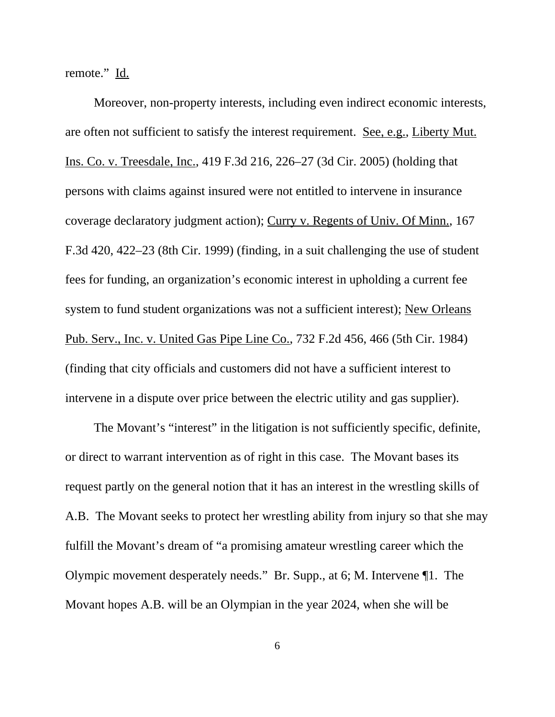remote." Id.

Moreover, non-property interests, including even indirect economic interests, are often not sufficient to satisfy the interest requirement. See, e.g., Liberty Mut. Ins. Co. v. Treesdale, Inc., 419 F.3d 216, 226–27 (3d Cir. 2005) (holding that persons with claims against insured were not entitled to intervene in insurance coverage declaratory judgment action); Curry v. Regents of Univ. Of Minn., 167 F.3d 420, 422–23 (8th Cir. 1999) (finding, in a suit challenging the use of student fees for funding, an organization's economic interest in upholding a current fee system to fund student organizations was not a sufficient interest); New Orleans Pub. Serv., Inc. v. United Gas Pipe Line Co., 732 F.2d 456, 466 (5th Cir. 1984) (finding that city officials and customers did not have a sufficient interest to intervene in a dispute over price between the electric utility and gas supplier).

The Movant's "interest" in the litigation is not sufficiently specific, definite, or direct to warrant intervention as of right in this case. The Movant bases its request partly on the general notion that it has an interest in the wrestling skills of A.B. The Movant seeks to protect her wrestling ability from injury so that she may fulfill the Movant's dream of "a promising amateur wrestling career which the Olympic movement desperately needs." Br. Supp., at 6; M. Intervene ¶1. The Movant hopes A.B. will be an Olympian in the year 2024, when she will be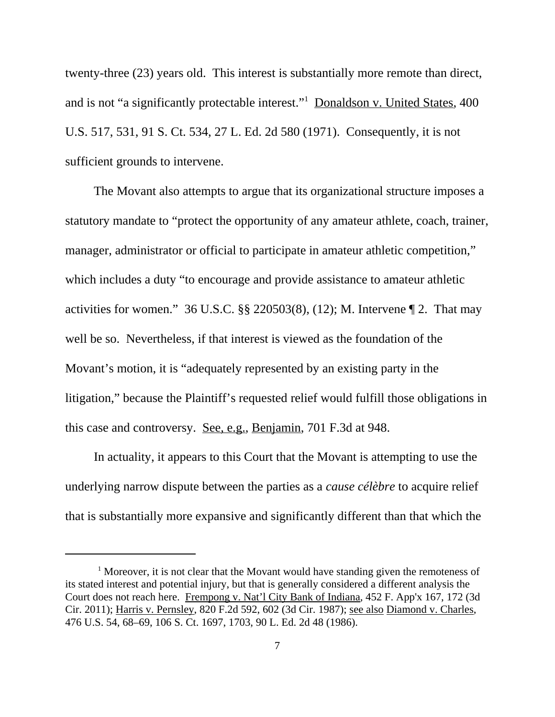twenty-three (23) years old. This interest is substantially more remote than direct, and is not "a significantly protectable interest."<sup>1</sup> Donaldson v. United States, 400 U.S. 517, 531, 91 S. Ct. 534, 27 L. Ed. 2d 580 (1971). Consequently, it is not sufficient grounds to intervene.

The Movant also attempts to argue that its organizational structure imposes a statutory mandate to "protect the opportunity of any amateur athlete, coach, trainer, manager, administrator or official to participate in amateur athletic competition," which includes a duty "to encourage and provide assistance to amateur athletic activities for women." 36 U.S.C.  $\S$ § 220503(8), (12); M. Intervene  $\P$  2. That may well be so. Nevertheless, if that interest is viewed as the foundation of the Movant's motion, it is "adequately represented by an existing party in the litigation," because the Plaintiff's requested relief would fulfill those obligations in this case and controversy. See, e.g., Benjamin, 701 F.3d at 948.

In actuality, it appears to this Court that the Movant is attempting to use the underlying narrow dispute between the parties as a *cause célèbre* to acquire relief that is substantially more expansive and significantly different than that which the

<sup>&</sup>lt;sup>1</sup> Moreover, it is not clear that the Movant would have standing given the remoteness of its stated interest and potential injury, but that is generally considered a different analysis the Court does not reach here. Frempong v. Nat'l City Bank of Indiana, 452 F. App'x 167, 172 (3d Cir. 2011); Harris v. Pernsley, 820 F.2d 592, 602 (3d Cir. 1987); see also Diamond v. Charles, 476 U.S. 54, 68–69, 106 S. Ct. 1697, 1703, 90 L. Ed. 2d 48 (1986).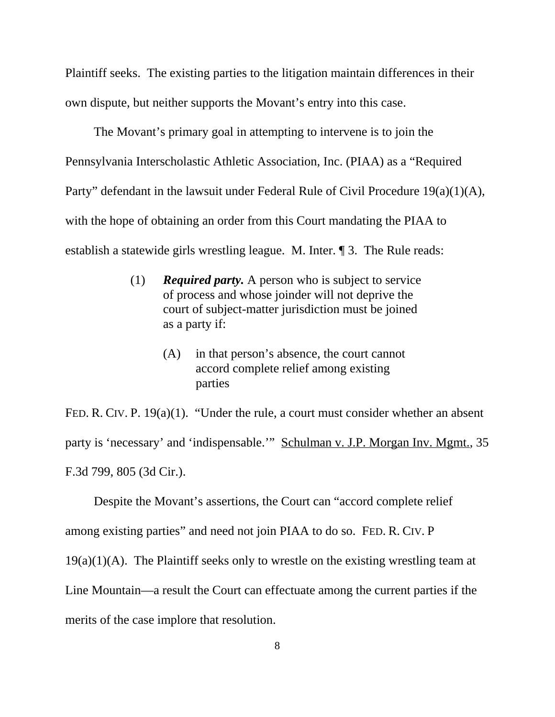Plaintiff seeks. The existing parties to the litigation maintain differences in their own dispute, but neither supports the Movant's entry into this case.

The Movant's primary goal in attempting to intervene is to join the Pennsylvania Interscholastic Athletic Association, Inc. (PIAA) as a "Required Party" defendant in the lawsuit under Federal Rule of Civil Procedure 19(a)(1)(A), with the hope of obtaining an order from this Court mandating the PIAA to establish a statewide girls wrestling league. M. Inter. ¶ 3. The Rule reads:

- (1) *Required party.* A person who is subject to service of process and whose joinder will not deprive the court of subject-matter jurisdiction must be joined as a party if:
	- (A) in that person's absence, the court cannot accord complete relief among existing parties

FED. R. CIV. P. 19(a)(1). "Under the rule, a court must consider whether an absent party is 'necessary' and 'indispensable.'" Schulman v. J.P. Morgan Inv. Mgmt., 35 F.3d 799, 805 (3d Cir.).

Despite the Movant's assertions, the Court can "accord complete relief among existing parties" and need not join PIAA to do so. FED. R. CIV. P  $19(a)(1)(A)$ . The Plaintiff seeks only to wrestle on the existing wrestling team at Line Mountain—a result the Court can effectuate among the current parties if the merits of the case implore that resolution.